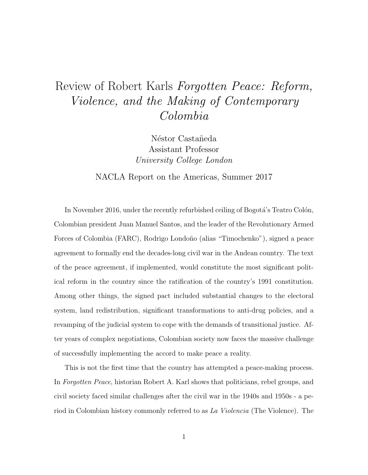## Review of Robert Karls Forgotten Peace: Reform, Violence, and the Making of Contemporary Colombia

Néstor Castañeda Assistant Professor University College London

NACLA Report on the Americas, Summer 2017

In November 2016, under the recently refurbished ceiling of Bogotá's Teatro Colón, Colombian president Juan Manuel Santos, and the leader of the Revolutionary Armed Forces of Colombia (FARC), Rodrigo Londoño (alias "Timochenko"), signed a peace agreement to formally end the decades-long civil war in the Andean country. The text of the peace agreement, if implemented, would constitute the most significant political reform in the country since the ratification of the country's 1991 constitution. Among other things, the signed pact included substantial changes to the electoral system, land redistribution, significant transformations to anti-drug policies, and a revamping of the judicial system to cope with the demands of transitional justice. After years of complex negotiations, Colombian society now faces the massive challenge of successfully implementing the accord to make peace a reality.

This is not the first time that the country has attempted a peace-making process. In Forgotten Peace, historian Robert A. Karl shows that politicians, rebel groups, and civil society faced similar challenges after the civil war in the 1940s and 1950s - a period in Colombian history commonly referred to as La Violencia (The Violence). The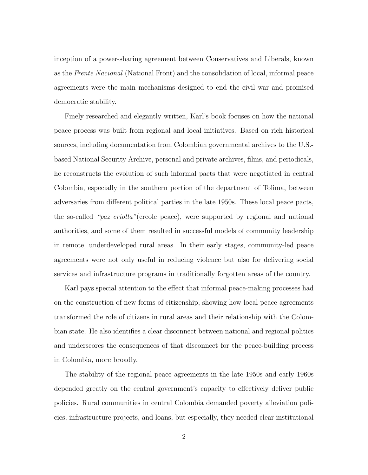inception of a power-sharing agreement between Conservatives and Liberals, known as the Frente Nacional (National Front) and the consolidation of local, informal peace agreements were the main mechanisms designed to end the civil war and promised democratic stability.

Finely researched and elegantly written, Karl's book focuses on how the national peace process was built from regional and local initiatives. Based on rich historical sources, including documentation from Colombian governmental archives to the U.S. based National Security Archive, personal and private archives, films, and periodicals, he reconstructs the evolution of such informal pacts that were negotiated in central Colombia, especially in the southern portion of the department of Tolima, between adversaries from different political parties in the late 1950s. These local peace pacts, the so-called "paz criolla"(creole peace), were supported by regional and national authorities, and some of them resulted in successful models of community leadership in remote, underdeveloped rural areas. In their early stages, community-led peace agreements were not only useful in reducing violence but also for delivering social services and infrastructure programs in traditionally forgotten areas of the country.

Karl pays special attention to the effect that informal peace-making processes had on the construction of new forms of citizenship, showing how local peace agreements transformed the role of citizens in rural areas and their relationship with the Colombian state. He also identifies a clear disconnect between national and regional politics and underscores the consequences of that disconnect for the peace-building process in Colombia, more broadly.

The stability of the regional peace agreements in the late 1950s and early 1960s depended greatly on the central government's capacity to effectively deliver public policies. Rural communities in central Colombia demanded poverty alleviation policies, infrastructure projects, and loans, but especially, they needed clear institutional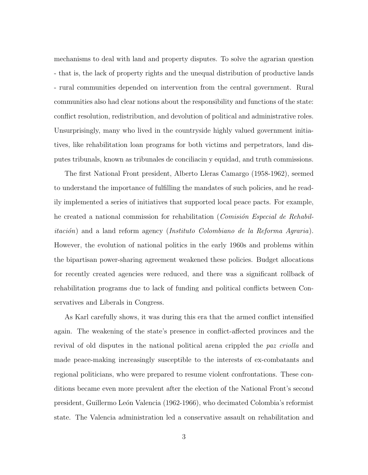mechanisms to deal with land and property disputes. To solve the agrarian question - that is, the lack of property rights and the unequal distribution of productive lands - rural communities depended on intervention from the central government. Rural communities also had clear notions about the responsibility and functions of the state: conflict resolution, redistribution, and devolution of political and administrative roles. Unsurprisingly, many who lived in the countryside highly valued government initiatives, like rehabilitation loan programs for both victims and perpetrators, land disputes tribunals, known as tribunales de conciliacin y equidad, and truth commissions.

The first National Front president, Alberto Lleras Camargo (1958-1962), seemed to understand the importance of fulfilling the mandates of such policies, and he readily implemented a series of initiatives that supported local peace pacts. For example, he created a national commission for rehabilitation (*Comisión Especial de Rehabilitación*) and a land reform agency (*Instituto Colombiano de la Reforma Agraria*). However, the evolution of national politics in the early 1960s and problems within the bipartisan power-sharing agreement weakened these policies. Budget allocations for recently created agencies were reduced, and there was a significant rollback of rehabilitation programs due to lack of funding and political conflicts between Conservatives and Liberals in Congress.

As Karl carefully shows, it was during this era that the armed conflict intensified again. The weakening of the state's presence in conflict-affected provinces and the revival of old disputes in the national political arena crippled the paz criolla and made peace-making increasingly susceptible to the interests of ex-combatants and regional politicians, who were prepared to resume violent confrontations. These conditions became even more prevalent after the election of the National Front's second president, Guillermo Le´on Valencia (1962-1966), who decimated Colombia's reformist state. The Valencia administration led a conservative assault on rehabilitation and